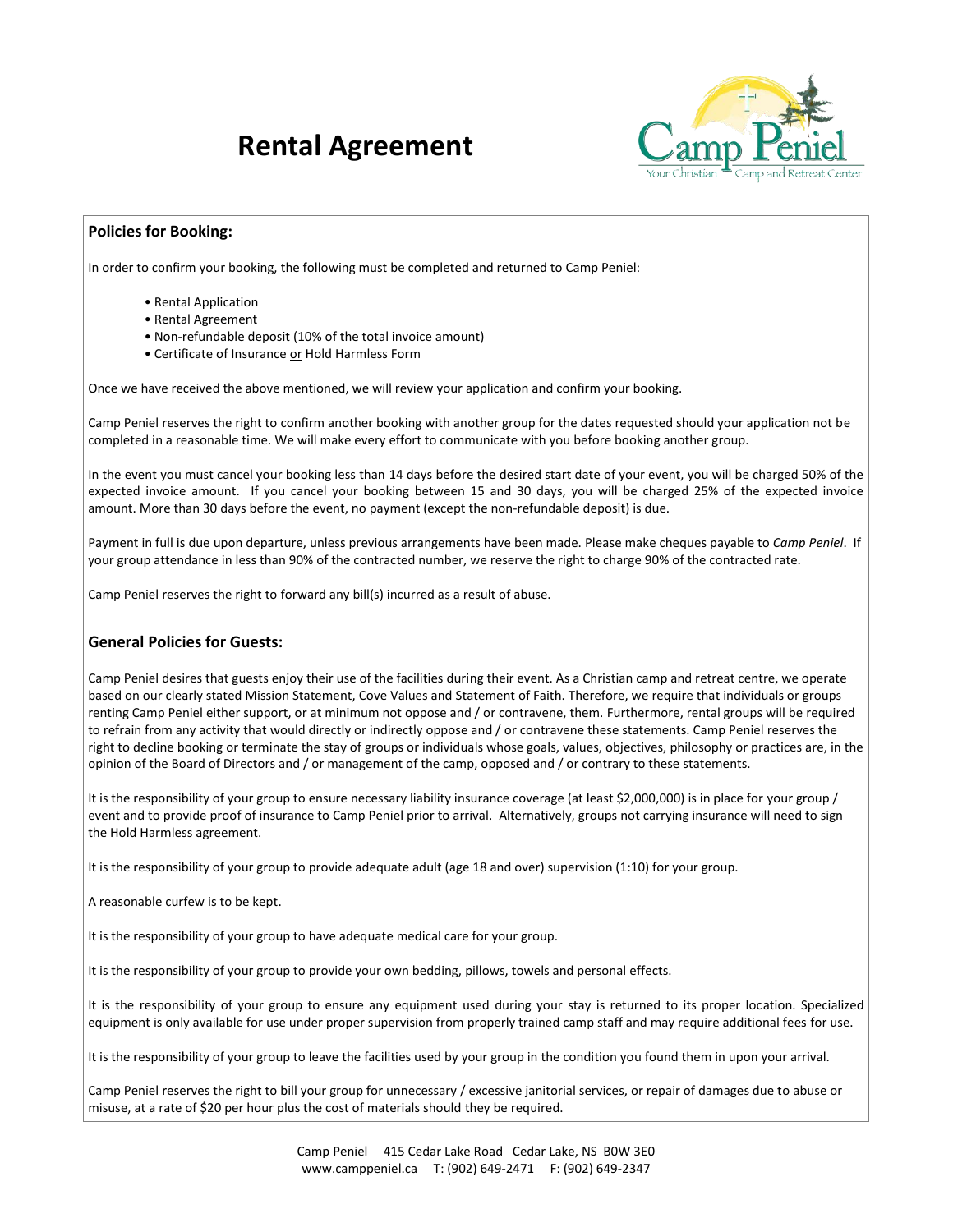## **Rental Agreement**



## **Policies for Booking:**

In order to confirm your booking, the following must be completed and returned to Camp Peniel:

- Rental Application
- Rental Agreement
- Non-refundable deposit (10% of the total invoice amount)
- Certificate of Insurance or Hold Harmless Form

Once we have received the above mentioned, we will review your application and confirm your booking.

Camp Peniel reserves the right to confirm another booking with another group for the dates requested should your application not be completed in a reasonable time. We will make every effort to communicate with you before booking another group.

In the event you must cancel your booking less than 14 days before the desired start date of your event, you will be charged 50% of the expected invoice amount. If you cancel your booking between 15 and 30 days, you will be charged 25% of the expected invoice amount. More than 30 days before the event, no payment (except the non-refundable deposit) is due.

Payment in full is due upon departure, unless previous arrangements have been made. Please make cheques payable to *Camp Peniel*. If your group attendance in less than 90% of the contracted number, we reserve the right to charge 90% of the contracted rate.

Camp Peniel reserves the right to forward any bill(s) incurred as a result of abuse.

## **General Policies for Guests:**

Camp Peniel desires that guests enjoy their use of the facilities during their event. As a Christian camp and retreat centre, we operate based on our clearly stated Mission Statement, Cove Values and Statement of Faith. Therefore, we require that individuals or groups renting Camp Peniel either support, or at minimum not oppose and / or contravene, them. Furthermore, rental groups will be required to refrain from any activity that would directly or indirectly oppose and / or contravene these statements. Camp Peniel reserves the right to decline booking or terminate the stay of groups or individuals whose goals, values, objectives, philosophy or practices are, in the opinion of the Board of Directors and / or management of the camp, opposed and / or contrary to these statements.

It is the responsibility of your group to ensure necessary liability insurance coverage (at least \$2,000,000) is in place for your group / event and to provide proof of insurance to Camp Peniel prior to arrival. Alternatively, groups not carrying insurance will need to sign the Hold Harmless agreement.

It is the responsibility of your group to provide adequate adult (age 18 and over) supervision (1:10) for your group.

A reasonable curfew is to be kept.

It is the responsibility of your group to have adequate medical care for your group.

It is the responsibility of your group to provide your own bedding, pillows, towels and personal effects.

It is the responsibility of your group to ensure any equipment used during your stay is returned to its proper location. Specialized equipment is only available for use under proper supervision from properly trained camp staff and may require additional fees for use.

It is the responsibility of your group to leave the facilities used by your group in the condition you found them in upon your arrival.

Camp Peniel reserves the right to bill your group for unnecessary / excessive janitorial services, or repair of damages due to abuse or misuse, at a rate of \$20 per hour plus the cost of materials should they be required.